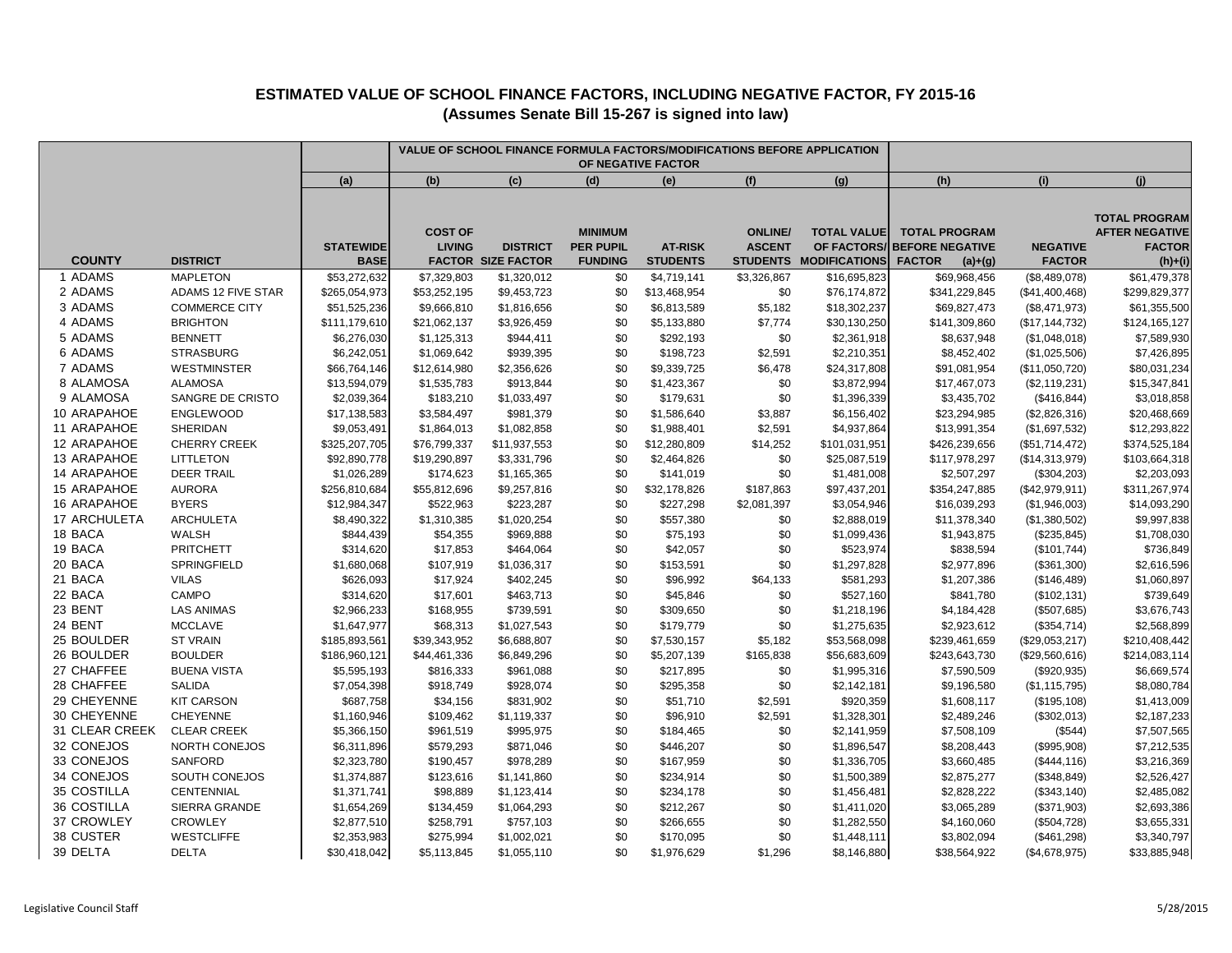|                            |                               | VALUE OF SCHOOL FINANCE FORMULA FACTORS/MODIFICATIONS BEFORE APPLICATION<br>OF NEGATIVE FACTOR |                                 |                                              |                                                      |                                   |                                 |                                                             |                                                                              |                                  |                                                                             |
|----------------------------|-------------------------------|------------------------------------------------------------------------------------------------|---------------------------------|----------------------------------------------|------------------------------------------------------|-----------------------------------|---------------------------------|-------------------------------------------------------------|------------------------------------------------------------------------------|----------------------------------|-----------------------------------------------------------------------------|
|                            |                               | (a)                                                                                            | (b)                             | (c)                                          | (d)                                                  | (e)                               | (f)                             | (g)                                                         | (h)                                                                          | (i)                              | (j)                                                                         |
| <b>COUNTY</b>              | <b>DISTRICT</b>               | <b>STATEWIDE</b><br><b>BASE</b>                                                                | <b>COST OF</b><br><b>LIVING</b> | <b>DISTRICT</b><br><b>FACTOR SIZE FACTOR</b> | <b>MINIMUM</b><br><b>PER PUPIL</b><br><b>FUNDING</b> | <b>AT-RISK</b><br><b>STUDENTS</b> | <b>ONLINE/</b><br><b>ASCENT</b> | <b>TOTAL VALUE</b><br>OF FACTORS/<br>STUDENTS MODIFICATIONS | <b>TOTAL PROGRAM</b><br><b>BEFORE NEGATIVE</b><br><b>FACTOR</b><br>$(a)+(g)$ | <b>NEGATIVE</b><br><b>FACTOR</b> | <b>TOTAL PROGRAM</b><br><b>AFTER NEGATIVE</b><br><b>FACTOR</b><br>$(h)+(i)$ |
| 1 ADAMS                    | <b>MAPLETON</b>               | \$53,272,632                                                                                   | \$7,329,803                     | \$1,320,012                                  | \$0                                                  | \$4,719,141                       | \$3,326,867                     | \$16,695,823                                                | \$69,968,456                                                                 | (\$8,489,078)                    | \$61,479,378                                                                |
| 2 ADAMS                    | <b>ADAMS 12 FIVE STAR</b>     | \$265,054,973                                                                                  | \$53,252,195                    | \$9,453,723                                  | \$0                                                  | \$13,468,954                      | \$0                             | \$76,174,872                                                | \$341,229,845                                                                | (\$41,400,468)                   | \$299,829,377                                                               |
| 3 ADAMS                    | <b>COMMERCE CITY</b>          | \$51,525,236                                                                                   | \$9,666,810                     | \$1,816,656                                  | \$0                                                  | \$6,813,589                       | \$5,182                         | \$18,302,237                                                | \$69,827,473                                                                 | (\$8,471,973)                    | \$61,355,500                                                                |
| 4 ADAMS                    | <b>BRIGHTON</b>               | \$111,179,610                                                                                  | \$21,062,137                    | \$3,926,459                                  | \$0                                                  | \$5,133,880                       | \$7,774                         | \$30,130,250                                                | \$141,309,860                                                                | (\$17, 144, 732)                 | \$124,165,127                                                               |
| 5 ADAMS                    | <b>BENNETT</b>                | \$6,276,030                                                                                    | \$1,125,313                     | \$944,411                                    | \$0                                                  | \$292,193                         | \$0                             | \$2,361,918                                                 | \$8,637,948                                                                  | (\$1,048,018)                    | \$7,589,930                                                                 |
| 6 ADAMS                    | <b>STRASBURG</b>              | \$6,242,051                                                                                    | \$1,069,642                     | \$939,395                                    | \$0                                                  | \$198,723                         | \$2,591                         | \$2,210,351                                                 | \$8,452,402                                                                  | (\$1,025,506)                    | \$7,426,895                                                                 |
| 7 ADAMS                    | <b>WESTMINSTER</b>            | \$66,764,146                                                                                   | \$12,614,980                    | \$2,356,626                                  | \$0                                                  | \$9,339,725                       | \$6,478                         | \$24,317,808                                                | \$91,081,954                                                                 | (\$11,050,720)                   | \$80,031,234                                                                |
| 8 ALAMOSA                  | <b>ALAMOSA</b>                | \$13,594,079                                                                                   | \$1,535,783                     | \$913,844                                    | \$0                                                  | \$1,423,367                       | \$0                             | \$3,872,994                                                 | \$17,467,073                                                                 | (\$2,119,231)                    | \$15,347,841                                                                |
| 9 ALAMOSA                  | SANGRE DE CRISTO              | \$2,039,364                                                                                    | \$183,210                       | \$1,033,497                                  | \$0                                                  | \$179,631                         | \$0                             | \$1,396,339                                                 | \$3,435,702                                                                  | (\$416, 844)                     | \$3,018,858                                                                 |
| 10 ARAPAHOE                | ENGLEWOOD                     | \$17,138,583                                                                                   | \$3,584,497                     | \$981,379                                    | \$0                                                  | \$1,586,640                       | \$3,887                         | \$6,156,402                                                 | \$23,294,985                                                                 | (\$2,826,316)                    | \$20,468,669                                                                |
| 11 ARAPAHOE                | SHERIDAN                      | \$9,053,491                                                                                    | \$1,864,013                     | \$1,082,858                                  | \$0                                                  | \$1,988,401                       | \$2,591                         | \$4,937,864                                                 | \$13,991,354                                                                 | (\$1,697,532)                    | \$12,293,822                                                                |
| 12 ARAPAHOE<br>13 ARAPAHOE | <b>CHERRY CREEK</b>           | \$325,207,705                                                                                  | \$76,799,337                    | \$11,937,553                                 | \$0                                                  | \$12,280,809                      | \$14,252                        | \$101,031,951                                               | \$426,239,656                                                                | (\$51,714,472)                   | \$374,525,184                                                               |
| 14 ARAPAHOE                | <b>LITTLETON</b>              | \$92,890,778                                                                                   | \$19,290,897                    | \$3,331,796                                  | \$0<br>\$0                                           | \$2,464,826                       | \$0                             | \$25,087,519                                                | \$117,978,297                                                                | (\$14,313,979)                   | \$103,664,318                                                               |
|                            | <b>DEER TRAIL</b>             | \$1,026,289                                                                                    | \$174,623                       | \$1,165,365                                  | \$0                                                  | \$141,019                         | \$0                             | \$1,481,008                                                 | \$2,507,297                                                                  | (\$304,203)                      | \$2,203,093                                                                 |
| 15 ARAPAHOE<br>16 ARAPAHOE | <b>AURORA</b><br><b>BYERS</b> | \$256,810,684                                                                                  | \$55,812,696                    | \$9,257,816                                  | \$0                                                  | \$32,178,826                      | \$187,863                       | \$97,437,201                                                | \$354,247,885                                                                | (\$42,979,911)                   | \$311,267,974                                                               |
| 17 ARCHULETA               | <b>ARCHULETA</b>              | \$12,984,347<br>\$8,490,322                                                                    | \$522,963                       | \$223,287                                    | \$0                                                  | \$227,298<br>\$557,380            | \$2,081,397                     | \$3,054,946<br>\$2,888,019                                  | \$16,039,293<br>\$11,378,340                                                 | (\$1,946,003)                    | \$14,093,290<br>\$9,997,838                                                 |
| 18 BACA                    | WALSH                         |                                                                                                | \$1,310,385                     | \$1,020,254<br>\$969,888                     | \$0                                                  | \$75,193                          | \$0                             | \$1,099,436                                                 | \$1,943,875                                                                  | (\$1,380,502)                    | \$1,708,030                                                                 |
| 19 BACA                    | <b>PRITCHETT</b>              | \$844,439                                                                                      | \$54,355<br>\$17,853            | \$464,064                                    | \$0                                                  | \$42,057                          | \$0<br>\$0                      | \$523,974                                                   | \$838,594                                                                    | (\$235,845)                      | \$736,849                                                                   |
| 20 BACA                    | SPRINGFIELD                   | \$314,620                                                                                      |                                 |                                              | \$0                                                  |                                   | \$0                             | \$1,297,828                                                 | \$2,977,896                                                                  | (\$101,744)                      | \$2,616,596                                                                 |
| 21 BACA                    | <b>VILAS</b>                  | \$1,680,068<br>\$626,093                                                                       | \$107,919<br>\$17,924           | \$1,036,317<br>\$402,245                     | \$0                                                  | \$153,591<br>\$96,992             | \$64,133                        | \$581,293                                                   | \$1,207,386                                                                  | (\$361,300)<br>(\$146,489)       | \$1,060,897                                                                 |
| 22 BACA                    | CAMPO                         | \$314,620                                                                                      | \$17,601                        | \$463,713                                    | \$0                                                  | \$45,846                          | \$0                             | \$527,160                                                   | \$841,780                                                                    |                                  | \$739,649                                                                   |
| 23 BENT                    | <b>LAS ANIMAS</b>             | \$2,966,233                                                                                    | \$168,955                       | \$739,591                                    | \$0                                                  | \$309,650                         | \$0                             |                                                             | \$4,184,428                                                                  | (\$102, 131)<br>(\$507,685)      | \$3,676,743                                                                 |
| 24 BENT                    | <b>MCCLAVE</b>                | \$1,647,977                                                                                    | \$68,313                        | \$1,027,543                                  | \$0                                                  | \$179,779                         | \$0                             | \$1,218,196<br>\$1,275,635                                  | \$2,923,612                                                                  | (\$354,714)                      | \$2,568,899                                                                 |
| 25 BOULDER                 | <b>ST VRAIN</b>               | \$185,893,561                                                                                  | \$39,343,952                    | \$6,688,807                                  | \$0                                                  | \$7,530,157                       | \$5,182                         | \$53,568,098                                                | \$239,461,659                                                                | (\$29,053,217)                   | \$210,408,442                                                               |
| 26 BOULDER                 | <b>BOULDER</b>                | \$186,960,121                                                                                  | \$44,461,336                    | \$6,849,296                                  | \$0                                                  | \$5,207,139                       | \$165,838                       | \$56,683,609                                                | \$243,643,730                                                                | (\$29,560,616)                   | \$214,083,114                                                               |
| 27 CHAFFEE                 | <b>BUENA VISTA</b>            | \$5,595,193                                                                                    | \$816,333                       | \$961,088                                    | \$0                                                  | \$217,895                         | \$0                             | \$1,995,316                                                 | \$7,590,509                                                                  | (\$920,935)                      | \$6,669,574                                                                 |
| 28 CHAFFEE                 | <b>SALIDA</b>                 | \$7,054,398                                                                                    | \$918,749                       | \$928,074                                    | \$0                                                  | \$295,358                         | \$0                             | \$2,142,181                                                 | \$9,196,580                                                                  | (\$1, 115, 795)                  | \$8,080,784                                                                 |
| 29 CHEYENNE                | <b>KIT CARSON</b>             | \$687,758                                                                                      | \$34,156                        | \$831,902                                    | \$0                                                  | \$51,710                          | \$2,591                         | \$920,359                                                   | \$1,608,117                                                                  | (\$195, 108)                     | \$1,413,009                                                                 |
| 30 CHEYENNE                | <b>CHEYENNE</b>               | \$1,160,946                                                                                    | \$109,462                       | \$1,119,337                                  | \$0                                                  | \$96,910                          | \$2,591                         | \$1,328,301                                                 | \$2,489,246                                                                  | (\$302,013)                      | \$2,187,233                                                                 |
| 31 CLEAR CREEK             | <b>CLEAR CREEK</b>            | \$5,366,150                                                                                    | \$961,519                       | \$995,975                                    | \$0                                                  | \$184,465                         | \$0                             | \$2,141,959                                                 | \$7,508,109                                                                  | (\$544)                          | \$7,507,565                                                                 |
| 32 CONEJOS                 | NORTH CONEJOS                 | \$6,311,896                                                                                    | \$579,293                       | \$871,046                                    | \$0                                                  | \$446,207                         | \$0                             | \$1,896,547                                                 | \$8,208,443                                                                  | (\$995,908)                      | \$7,212,535                                                                 |
| 33 CONEJOS                 | SANFORD                       | \$2,323,780                                                                                    | \$190,457                       | \$978,289                                    | \$0                                                  | \$167,959                         | \$0                             | \$1,336,705                                                 | \$3,660,485                                                                  | (\$444, 116)                     | \$3,216,369                                                                 |
| 34 CONEJOS                 | SOUTH CONEJOS                 | \$1,374,887                                                                                    | \$123,616                       | \$1,141,860                                  | \$0                                                  | \$234,914                         | \$0                             | \$1,500,389                                                 | \$2,875,277                                                                  | (\$348, 849)                     | \$2,526,427                                                                 |
| 35 COSTILLA                | CENTENNIAL                    | \$1,371,741                                                                                    | \$98,889                        | \$1,123,414                                  | \$0                                                  | \$234,178                         | \$0                             | \$1,456,481                                                 | \$2,828,222                                                                  | (\$343,140)                      | \$2,485,082                                                                 |
| 36 COSTILLA                | SIERRA GRANDE                 | \$1,654,269                                                                                    | \$134,459                       | \$1,064,293                                  | \$0                                                  | \$212,267                         | \$0                             | \$1,411,020                                                 | \$3,065,289                                                                  | (\$371,903)                      | \$2,693,386                                                                 |
| 37 CROWLEY                 | <b>CROWLEY</b>                | \$2,877,510                                                                                    | \$258,791                       | \$757,103                                    | \$0                                                  | \$266,655                         | \$0                             | \$1,282,550                                                 | \$4,160,060                                                                  | (\$504,728)                      | \$3,655,331                                                                 |
| 38 CUSTER                  | <b>WESTCLIFFE</b>             | \$2,353,983                                                                                    | \$275,994                       | \$1,002,021                                  | \$0                                                  | \$170,095                         | \$0                             | \$1,448,111                                                 | \$3,802,094                                                                  | (\$461,298)                      | \$3,340,797                                                                 |
| 39 DELTA                   | <b>DELTA</b>                  | \$30,418,042                                                                                   | \$5,113,845                     | \$1,055,110                                  | \$0                                                  | \$1,976,629                       | \$1,296                         | \$8,146,880                                                 | \$38,564,922                                                                 | (\$4,678,975)                    | \$33,885,948                                                                |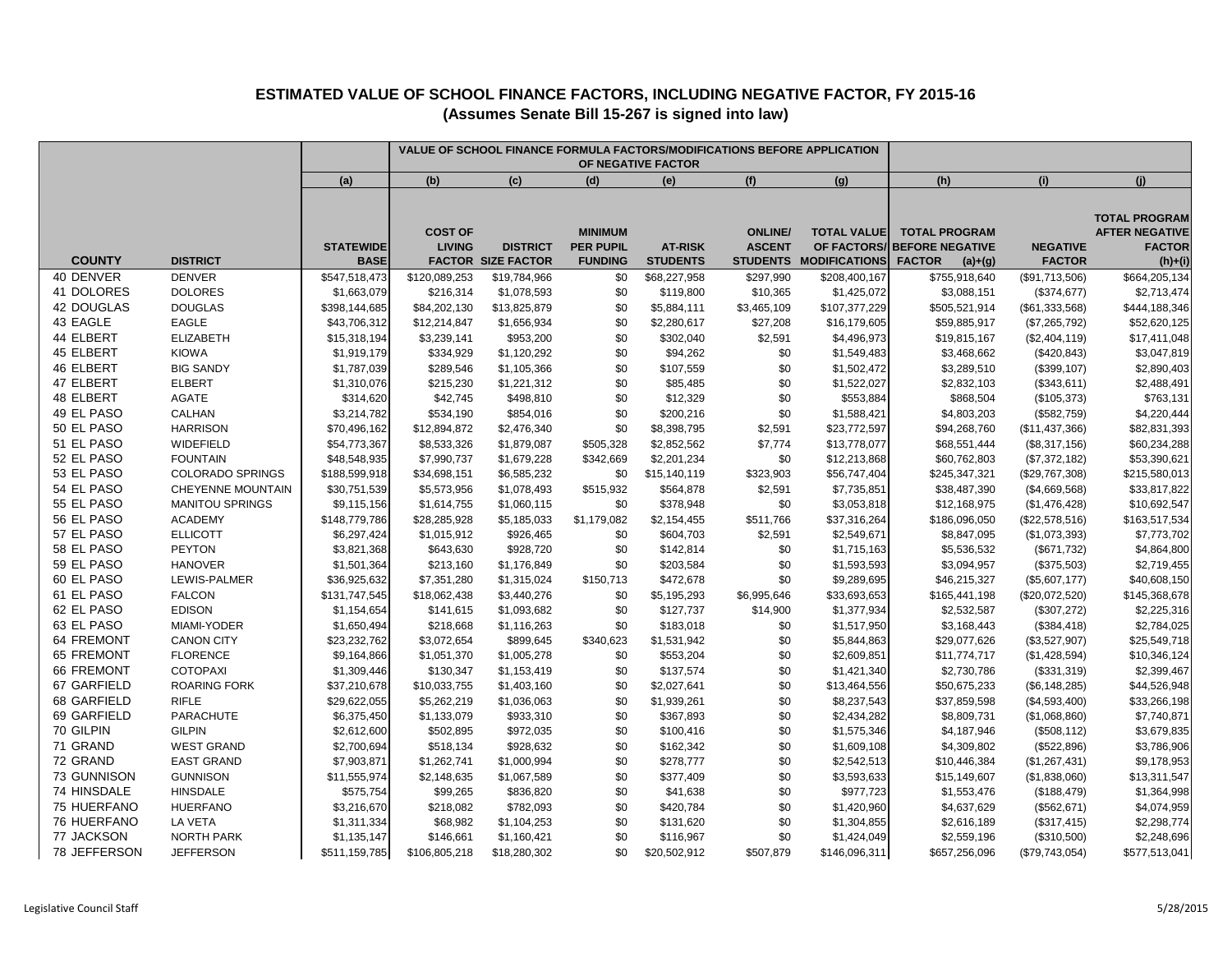|                            |                               |                                 |                                 |                                              | VALUE OF SCHOOL FINANCE FORMULA FACTORS/MODIFICATIONS BEFORE APPLICATION |                                   |                                                    |                                                           |                                                                              |                                  |                                                                             |
|----------------------------|-------------------------------|---------------------------------|---------------------------------|----------------------------------------------|--------------------------------------------------------------------------|-----------------------------------|----------------------------------------------------|-----------------------------------------------------------|------------------------------------------------------------------------------|----------------------------------|-----------------------------------------------------------------------------|
|                            |                               | (a)                             | (b)                             | (c)                                          | (d)                                                                      | (e)                               | (f)                                                | (g)                                                       | (h)                                                                          | (i)                              | (i)                                                                         |
| <b>COUNTY</b>              | <b>DISTRICT</b>               | <b>STATEWIDE</b><br><b>BASE</b> | <b>COST OF</b><br><b>LIVING</b> | <b>DISTRICT</b><br><b>FACTOR SIZE FACTOR</b> | <b>MINIMUM</b><br><b>PER PUPIL</b><br><b>FUNDING</b>                     | <b>AT-RISK</b><br><b>STUDENTS</b> | <b>ONLINE/</b><br><b>ASCENT</b><br><b>STUDENTS</b> | <b>TOTAL VALUE</b><br>OF FACTORS/<br><b>MODIFICATIONS</b> | <b>TOTAL PROGRAM</b><br><b>BEFORE NEGATIVE</b><br><b>FACTOR</b><br>$(a)+(g)$ | <b>NEGATIVE</b><br><b>FACTOR</b> | <b>TOTAL PROGRAM</b><br><b>AFTER NEGATIVE</b><br><b>FACTOR</b><br>$(h)+(i)$ |
| 40 DENVER                  | <b>DENVER</b>                 | \$547,518,473                   | \$120,089,253                   | \$19,784,966                                 | \$0                                                                      | \$68,227,958                      | \$297,990                                          | \$208,400,167                                             | \$755,918,640                                                                | (\$91,713,506)                   | \$664,205,134                                                               |
| 41 DOLORES                 | <b>DOLORES</b>                | \$1,663,079                     | \$216,314                       | \$1,078,593                                  | \$0                                                                      | \$119,800                         | \$10,365                                           | \$1,425,072                                               | \$3,088,151                                                                  | (\$374, 677)                     | \$2,713,474                                                                 |
| 42 DOUGLAS                 | <b>DOUGLAS</b>                | \$398,144,685                   | \$84,202,130                    | \$13,825,879                                 | \$0                                                                      | \$5,884,111                       | \$3,465,109                                        | \$107,377,229                                             | \$505,521,914                                                                | (\$61,333,568)                   | \$444,188,346                                                               |
| 43 EAGLE                   | <b>EAGLE</b>                  | \$43,706,312                    | \$12,214,847                    | \$1,656,934                                  | \$0                                                                      | \$2,280,617                       | \$27,208                                           | \$16,179,605                                              | \$59,885,917                                                                 | (\$7,265,792)                    | \$52,620,125                                                                |
| 44 ELBERT                  | <b>ELIZABETH</b>              | \$15,318,194                    | \$3,239,141                     | \$953,200                                    | \$0                                                                      | \$302,040                         | \$2,591                                            | \$4,496,973                                               | \$19,815,167                                                                 | (\$2,404,119)                    | \$17,411,048                                                                |
| 45 ELBERT                  | <b>KIOWA</b>                  | \$1,919,179                     | \$334,929                       | \$1,120,292                                  | \$0                                                                      | \$94,262                          | \$0                                                | \$1,549,483                                               | \$3,468,662                                                                  | (\$420,843)                      | \$3,047,819                                                                 |
| 46 ELBERT                  | <b>BIG SANDY</b>              | \$1,787,039                     | \$289,546                       | \$1,105,366                                  | \$0                                                                      | \$107,559                         | \$0                                                | \$1,502,472                                               | \$3,289,510                                                                  | (\$399, 107)                     | \$2,890,403                                                                 |
| 47 ELBERT<br>48 ELBERT     | <b>ELBERT</b><br><b>AGATE</b> | \$1,310,076                     | \$215,230<br>\$42,745           | \$1,221,312                                  | \$0<br>\$0                                                               | \$85,485                          | \$0<br>\$0                                         | \$1,522,027                                               | \$2,832,103<br>\$868,504                                                     | (\$343,611)                      | \$2,488,491<br>\$763,131                                                    |
| 49 EL PASO                 | CALHAN                        | \$314,620<br>\$3,214,782        | \$534,190                       | \$498,810<br>\$854,016                       | \$0                                                                      | \$12,329<br>\$200,216             | \$0                                                | \$553,884<br>\$1,588,421                                  | \$4,803,203                                                                  | (\$105,373)<br>(\$582,759)       | \$4,220,444                                                                 |
| 50 EL PASO                 | <b>HARRISON</b>               | \$70,496,162                    | \$12,894,872                    | \$2,476,340                                  | \$0                                                                      | \$8,398,795                       | \$2,591                                            | \$23,772,597                                              | \$94,268,760                                                                 | (\$11,437,366)                   | \$82,831,393                                                                |
| 51 EL PASO                 | WIDEFIELD                     | \$54,773,367                    | \$8,533,326                     | \$1,879,087                                  | \$505,328                                                                | \$2,852,562                       | \$7,774                                            | \$13,778,077                                              | \$68,551,444                                                                 | (\$8,317,156)                    | \$60,234,288                                                                |
| 52 EL PASO                 | <b>FOUNTAIN</b>               | \$48,548,935                    | \$7,990,737                     | \$1,679,228                                  | \$342,669                                                                | \$2,201,234                       | \$0                                                | \$12,213,868                                              | \$60,762,803                                                                 | (\$7,372,182)                    | \$53,390,621                                                                |
| 53 EL PASO                 | COLORADO SPRINGS              | \$188,599,918                   | \$34,698,151                    | \$6,585,232                                  | \$0                                                                      | \$15,140,119                      | \$323,903                                          | \$56,747,404                                              | \$245,347,321                                                                | (\$29,767,308)                   | \$215,580,013                                                               |
| 54 EL PASO                 | CHEYENNE MOUNTAIN             | \$30,751,539                    | \$5,573,956                     | \$1,078,493                                  | \$515,932                                                                | \$564,878                         | \$2,591                                            | \$7,735,851                                               | \$38,487,390                                                                 | (\$4,669,568)                    | \$33,817,822                                                                |
| 55 EL PASO                 | <b>MANITOU SPRINGS</b>        | \$9,115,156                     | \$1,614,755                     | \$1,060,115                                  | \$0                                                                      | \$378,948                         | \$0                                                | \$3,053,818                                               | \$12,168,975                                                                 | (\$1,476,428)                    | \$10,692,547                                                                |
| 56 EL PASO                 | <b>ACADEMY</b>                | \$148,779,786                   | \$28,285,928                    | \$5,185,033                                  | \$1,179,082                                                              | \$2,154,455                       | \$511,766                                          | \$37,316,264                                              | \$186,096,050                                                                | (\$22,578,516)                   | \$163,517,534                                                               |
| 57 EL PASO                 | <b>ELLICOTT</b>               | \$6,297,424                     | \$1,015,912                     | \$926,465                                    | \$0                                                                      | \$604,703                         | \$2,591                                            | \$2,549,671                                               | \$8,847,095                                                                  | (\$1,073,393)                    | \$7,773,702                                                                 |
| 58 EL PASO                 | <b>PEYTON</b>                 | \$3,821,368                     | \$643,630                       | \$928,720                                    | \$0                                                                      | \$142,814                         | \$0                                                | \$1,715,163                                               | \$5,536,532                                                                  | (\$671,732)                      | \$4,864,800                                                                 |
| 59 EL PASO                 | <b>HANOVER</b>                | \$1,501,364                     | \$213,160                       | \$1,176,849                                  | \$0                                                                      | \$203,584                         | \$0                                                | \$1,593,593                                               | \$3,094,957                                                                  | (\$375,503)                      | \$2,719,455                                                                 |
| 60 EL PASO                 | LEWIS-PALMER                  | \$36,925,632                    | \$7,351,280                     | \$1,315,024                                  | \$150,713                                                                | \$472,678                         | \$0                                                | \$9,289,695                                               | \$46,215,327                                                                 | (\$5,607,177)                    | \$40,608,150                                                                |
| 61 EL PASO                 | <b>FALCON</b>                 | \$131,747,545                   | \$18,062,438                    | \$3,440,276                                  | \$0                                                                      | \$5,195,293                       | \$6,995,646                                        | \$33,693,653                                              | \$165,441,198                                                                | (\$20,072,520)                   | \$145,368,678                                                               |
| 62 EL PASO                 | <b>EDISON</b>                 | \$1,154,654                     | \$141,615                       | \$1,093,682                                  | \$0                                                                      | \$127,737                         | \$14,900                                           | \$1,377,934                                               | \$2,532,587                                                                  | (\$307,272)                      | \$2,225,316                                                                 |
| 63 EL PASO                 | MIAMI-YODER                   | \$1,650,494                     | \$218,668                       | \$1,116,263                                  | \$0                                                                      | \$183,018                         | \$0                                                | \$1,517,950                                               | \$3,168,443                                                                  | (\$384,418)                      | \$2,784,025                                                                 |
| 64 FREMONT                 | <b>CANON CITY</b>             | \$23,232,762                    | \$3,072,654                     | \$899,645                                    | \$340,623                                                                | \$1,531,942                       | \$0                                                | \$5,844,863                                               | \$29,077,626                                                                 | (\$3,527,907)                    | \$25,549,718                                                                |
| 65 FREMONT                 | <b>FLORENCE</b>               | \$9,164,866                     | \$1,051,370                     | \$1,005,278                                  | \$0                                                                      | \$553,204                         | \$0                                                | \$2,609,851                                               | \$11,774,717                                                                 | (\$1,428,594)                    | \$10,346,124                                                                |
| <b>66 FREMONT</b>          | <b>COTOPAXI</b>               | \$1,309,446                     | \$130,347                       | \$1,153,419                                  | \$0                                                                      | \$137,574                         | \$0                                                | \$1,421,340                                               | \$2,730,786                                                                  | (\$331,319)                      | \$2,399,467                                                                 |
| 67 GARFIELD                | <b>ROARING FORK</b>           | \$37,210,678                    | \$10,033,755                    | \$1,403,160                                  | \$0                                                                      | \$2,027,641                       | \$0                                                | \$13,464,556                                              | \$50,675,233                                                                 | (\$6, 148, 285)                  | \$44,526,948                                                                |
| 68 GARFIELD<br>69 GARFIELD | <b>RIFLE</b><br>PARACHUTE     | \$29,622,055                    | \$5,262,219                     | \$1,036,063                                  | \$0                                                                      | \$1,939,261                       | \$0                                                | \$8,237,543                                               | \$37,859,598                                                                 | (\$4,593,400)                    | \$33,266,198                                                                |
| 70 GILPIN                  | <b>GILPIN</b>                 | \$6,375,450<br>\$2,612,600      | \$1,133,079<br>\$502,895        | \$933,310<br>\$972,035                       | \$0<br>\$0                                                               | \$367,893<br>\$100,416            | \$0<br>\$0                                         | \$2,434,282<br>\$1,575,346                                | \$8,809,731<br>\$4,187,946                                                   | (\$1,068,860)<br>(\$508, 112)    | \$7,740,871<br>\$3,679,835                                                  |
| 71 GRAND                   | <b>WEST GRAND</b>             | \$2,700,694                     | \$518,134                       | \$928,632                                    | \$0                                                                      | \$162,342                         | \$0                                                | \$1,609,108                                               | \$4,309,802                                                                  | (\$522,896)                      | \$3,786,906                                                                 |
| 72 GRAND                   | <b>EAST GRAND</b>             | \$7,903,871                     | \$1,262,741                     | \$1,000,994                                  | \$0                                                                      | \$278,777                         | \$0                                                | \$2,542,513                                               | \$10,446,384                                                                 | (\$1,267,431)                    | \$9,178,953                                                                 |
| 73 GUNNISON                | <b>GUNNISON</b>               | \$11,555,974                    | \$2,148,635                     | \$1,067,589                                  | \$0                                                                      | \$377,409                         | \$0                                                | \$3,593,633                                               | \$15,149,607                                                                 | (\$1,838,060)                    | \$13,311,547                                                                |
| 74 HINSDALE                | <b>HINSDALE</b>               | \$575,754                       | \$99,265                        | \$836,820                                    | \$0                                                                      | \$41,638                          | \$0                                                | \$977,723                                                 | \$1,553,476                                                                  | (\$188,479)                      | \$1,364,998                                                                 |
| 75 HUERFANO                | <b>HUERFANO</b>               | \$3,216,670                     | \$218,082                       | \$782,093                                    | \$0                                                                      | \$420,784                         | \$0                                                | \$1,420,960                                               | \$4,637,629                                                                  | (\$562, 671)                     | \$4,074,959                                                                 |
| 76 HUERFANO                | LA VETA                       | \$1,311,334                     | \$68,982                        | \$1,104,253                                  | \$0                                                                      | \$131,620                         | \$0                                                | \$1,304,855                                               | \$2,616,189                                                                  | (\$317,415)                      | \$2,298,774                                                                 |
| 77 JACKSON                 | <b>NORTH PARK</b>             | \$1,135,147                     | \$146,661                       | \$1,160,421                                  | \$0                                                                      | \$116,967                         | \$0                                                | \$1,424,049                                               | \$2,559,196                                                                  | (\$310,500)                      | \$2,248,696                                                                 |
| 78 JEFFERSON               | <b>JEFFERSON</b>              | \$511,159,785                   | \$106,805,218                   | \$18,280,302                                 | \$0                                                                      | \$20,502,912                      | \$507,879                                          | \$146,096,311                                             | \$657,256,096                                                                | (\$79,743,054)                   | \$577,513,041                                                               |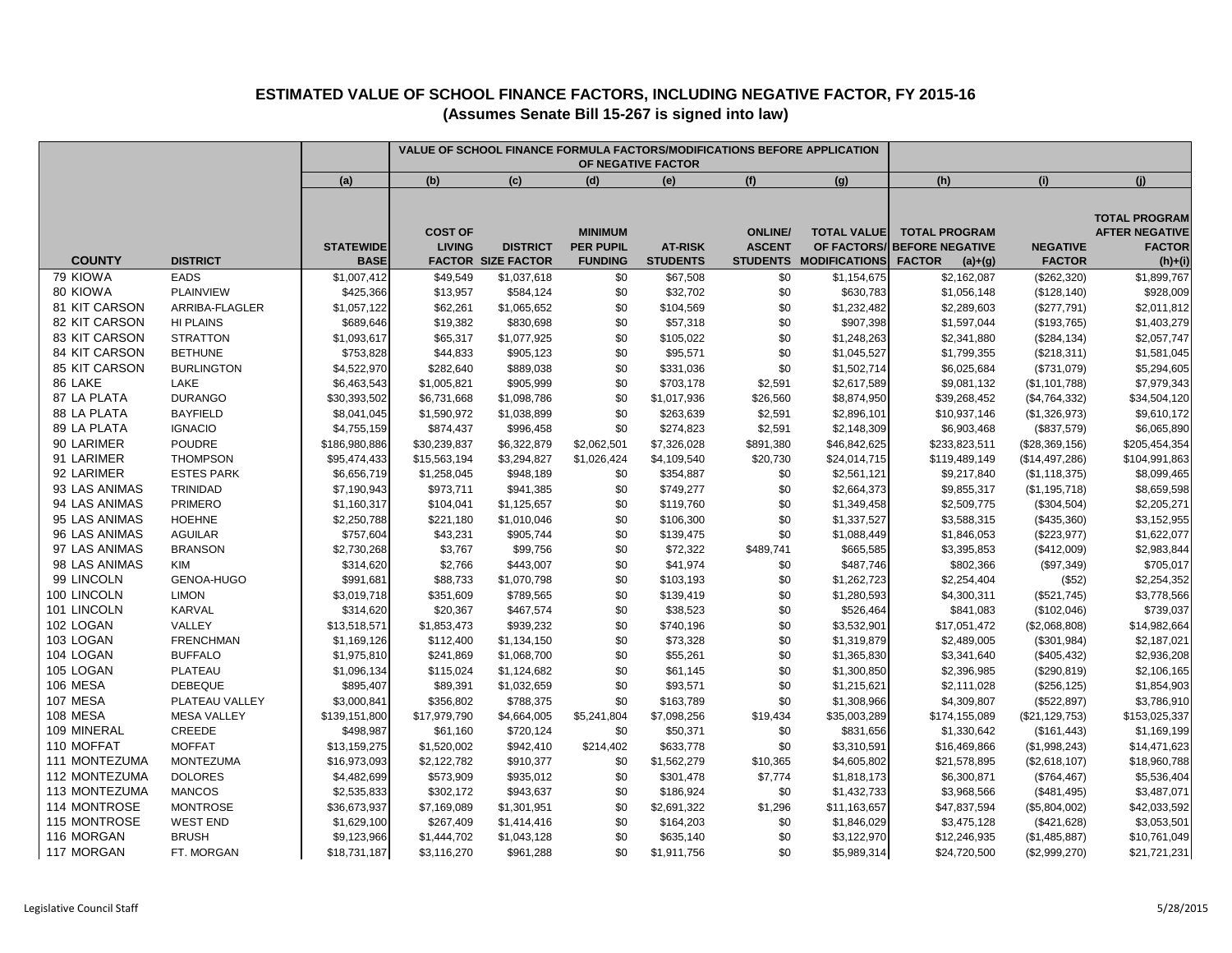|                                |                           | VALUE OF SCHOOL FINANCE FORMULA FACTORS/MODIFICATIONS BEFORE APPLICATION<br>OF NEGATIVE FACTOR |                                 |                                              |                                                      |                                   |                                                    |                                                           |                                                                              |                                  |                                                                             |
|--------------------------------|---------------------------|------------------------------------------------------------------------------------------------|---------------------------------|----------------------------------------------|------------------------------------------------------|-----------------------------------|----------------------------------------------------|-----------------------------------------------------------|------------------------------------------------------------------------------|----------------------------------|-----------------------------------------------------------------------------|
|                                |                           | (a)                                                                                            | (b)                             | (c)                                          | (d)                                                  | (e)                               | (f)                                                | (g)                                                       | (h)                                                                          | (i)                              | (i)                                                                         |
| <b>COUNTY</b>                  | <b>DISTRICT</b>           | <b>STATEWIDE</b><br><b>BASE</b>                                                                | <b>COST OF</b><br><b>LIVING</b> | <b>DISTRICT</b><br><b>FACTOR SIZE FACTOR</b> | <b>MINIMUM</b><br><b>PER PUPIL</b><br><b>FUNDING</b> | <b>AT-RISK</b><br><b>STUDENTS</b> | <b>ONLINE/</b><br><b>ASCENT</b><br><b>STUDENTS</b> | <b>TOTAL VALUE</b><br>OF FACTORS/<br><b>MODIFICATIONS</b> | <b>TOTAL PROGRAM</b><br><b>BEFORE NEGATIVE</b><br><b>FACTOR</b><br>$(a)+(g)$ | <b>NEGATIVE</b><br><b>FACTOR</b> | <b>TOTAL PROGRAM</b><br><b>AFTER NEGATIVE</b><br><b>FACTOR</b><br>$(h)+(i)$ |
| 79 KIOWA                       | <b>EADS</b>               | \$1,007,412                                                                                    | \$49,549                        | \$1,037,618                                  | \$0                                                  | \$67,508                          | \$0                                                | \$1,154,675                                               | \$2,162,087                                                                  | (\$262,320)                      | \$1,899,767                                                                 |
| 80 KIOWA                       | <b>PLAINVIEW</b>          | \$425,366                                                                                      | \$13,957                        | \$584,124                                    | \$0                                                  | \$32,702                          | \$0                                                | \$630,783                                                 | \$1,056,148                                                                  | (\$128, 140)                     | \$928,009                                                                   |
| 81 KIT CARSON                  | ARRIBA-FLAGLER            | \$1,057,122                                                                                    | \$62,261                        | \$1,065,652                                  | \$0                                                  | \$104,569                         | \$0                                                | \$1,232,482                                               | \$2,289,603                                                                  | (\$277,791)                      | \$2,011,812                                                                 |
| 82 KIT CARSON                  | HI PLAINS                 | \$689,646                                                                                      | \$19,382                        | \$830,698                                    | \$0                                                  | \$57,318                          | \$0                                                | \$907,398                                                 | \$1,597,044                                                                  | (\$193,765)                      | \$1,403,279                                                                 |
| 83 KIT CARSON                  | <b>STRATTON</b>           | \$1,093,617                                                                                    | \$65,317                        | \$1,077,925                                  | \$0                                                  | \$105,022                         | \$0                                                | \$1,248,263                                               | \$2,341,880                                                                  | (\$284, 134)                     | \$2,057,747                                                                 |
| 84 KIT CARSON<br>85 KIT CARSON | <b>BETHUNE</b>            | \$753,828                                                                                      | \$44,833                        | \$905,123                                    | \$0<br>\$0                                           | \$95,571                          | \$0                                                | \$1,045,527                                               | \$1,799,355                                                                  | (\$218,311)                      | \$1,581,045                                                                 |
| 86 LAKE                        | <b>BURLINGTON</b><br>LAKE | \$4,522,970                                                                                    | \$282,640                       | \$889,038                                    | \$0                                                  | \$331,036                         | \$0                                                | \$1,502,714                                               | \$6,025,684                                                                  | (\$731,079)                      | \$5,294,605<br>\$7,979,343                                                  |
| 87 LA PLATA                    | <b>DURANGO</b>            | \$6,463,543<br>\$30,393,502                                                                    | \$1,005,821<br>\$6,731,668      | \$905,999<br>\$1,098,786                     | \$0                                                  | \$703,178<br>\$1,017,936          | \$2,591<br>\$26,560                                | \$2,617,589<br>\$8,874,950                                | \$9,081,132<br>\$39,268,452                                                  | (\$1,101,788)                    | \$34,504,120                                                                |
| 88 LA PLATA                    | <b>BAYFIELD</b>           | \$8,041,045                                                                                    | \$1,590,972                     | \$1,038,899                                  | \$0                                                  | \$263,639                         | \$2,591                                            | \$2,896,101                                               | \$10,937,146                                                                 | (\$4,764,332)<br>(\$1,326,973)   | \$9,610,172                                                                 |
| 89 LA PLATA                    | <b>IGNACIO</b>            | \$4,755,159                                                                                    | \$874,437                       | \$996,458                                    | \$0                                                  | \$274,823                         | \$2,591                                            | \$2,148,309                                               | \$6,903,468                                                                  | (\$837,579)                      | \$6,065,890                                                                 |
| 90 LARIMER                     | POUDRE                    | \$186,980,886                                                                                  | \$30,239,837                    | \$6,322,879                                  | \$2,062,501                                          | \$7,326,028                       | \$891,380                                          | \$46,842,625                                              | \$233,823,511                                                                | (\$28,369,156)                   | \$205,454,354                                                               |
| 91 LARIMER                     | <b>THOMPSON</b>           | \$95,474,433                                                                                   | \$15,563,194                    | \$3,294,827                                  | \$1,026,424                                          | \$4,109,540                       | \$20,730                                           | \$24,014,715                                              | \$119,489,149                                                                | (\$14,497,286)                   | \$104,991,863                                                               |
| 92 LARIMER                     | <b>ESTES PARK</b>         | \$6,656,719                                                                                    | \$1,258,045                     | \$948,189                                    | \$0                                                  | \$354,887                         | \$0                                                | \$2,561,121                                               | \$9,217,840                                                                  | (\$1,118,375)                    | \$8,099,465                                                                 |
| 93 LAS ANIMAS                  | TRINIDAD                  | \$7,190,943                                                                                    | \$973,711                       | \$941,385                                    | \$0                                                  | \$749,277                         | \$0                                                | \$2,664,373                                               | \$9,855,317                                                                  | (\$1,195,718)                    | \$8,659,598                                                                 |
| 94 LAS ANIMAS                  | <b>PRIMERO</b>            | \$1,160,317                                                                                    | \$104,041                       | \$1,125,657                                  | \$0                                                  | \$119,760                         | \$0                                                | \$1,349,458                                               | \$2,509,775                                                                  | (\$304,504)                      | \$2,205,271                                                                 |
| 95 LAS ANIMAS                  | <b>HOEHNE</b>             | \$2,250,788                                                                                    | \$221,180                       | \$1,010,046                                  | \$0                                                  | \$106,300                         | \$0                                                | \$1,337,527                                               | \$3,588,315                                                                  | (\$435,360)                      | \$3,152,955                                                                 |
| 96 LAS ANIMAS                  | <b>AGUILAR</b>            | \$757,604                                                                                      | \$43,231                        | \$905,744                                    | \$0                                                  | \$139,475                         | \$0                                                | \$1,088,449                                               | \$1,846,053                                                                  | (\$223,977)                      | \$1,622,077                                                                 |
| 97 LAS ANIMAS                  | <b>BRANSON</b>            | \$2,730,268                                                                                    | \$3,767                         | \$99,756                                     | \$0                                                  | \$72,322                          | \$489,741                                          | \$665,585                                                 | \$3,395,853                                                                  | (\$412,009)                      | \$2,983,844                                                                 |
| 98 LAS ANIMAS                  | KIM                       | \$314,620                                                                                      | \$2,766                         | \$443,007                                    | \$0                                                  | \$41,974                          | \$0                                                | \$487,746                                                 | \$802,366                                                                    | (\$97,349)                       | \$705,017                                                                   |
| 99 LINCOLN                     | GENOA-HUGO                | \$991,681                                                                                      | \$88,733                        | \$1,070,798                                  | \$0                                                  | \$103,193                         | \$0                                                | \$1,262,723                                               | \$2,254,404                                                                  | (\$52)                           | \$2,254,352                                                                 |
| 100 LINCOLN                    | <b>LIMON</b>              | \$3,019,718                                                                                    | \$351,609                       | \$789,565                                    | \$0                                                  | \$139,419                         | \$0                                                | \$1,280,593                                               | \$4,300,311                                                                  | (\$521,745)                      | \$3,778,566                                                                 |
| 101 LINCOLN                    | KARVAL                    | \$314,620                                                                                      | \$20,367                        | \$467,574                                    | \$0                                                  | \$38,523                          | $\$0$                                              | \$526,464                                                 | \$841,083                                                                    | (\$102,046)                      | \$739,037                                                                   |
| 102 LOGAN                      | VALLEY                    | \$13,518,571                                                                                   | \$1,853,473                     | \$939,232                                    | \$0                                                  | \$740,196                         | \$0                                                | \$3,532,901                                               | \$17,051,472                                                                 | (\$2,068,808)                    | \$14,982,664                                                                |
| 103 LOGAN                      | <b>FRENCHMAN</b>          | \$1,169,126                                                                                    | \$112,400                       | \$1,134,150                                  | \$0                                                  | \$73,328                          | $\$0$                                              | \$1,319,879                                               | \$2,489,005                                                                  | (\$301,984)                      | \$2,187,021                                                                 |
| 104 LOGAN                      | <b>BUFFALO</b>            | \$1,975,810                                                                                    | \$241,869                       | \$1,068,700                                  | \$0                                                  | \$55,261                          | \$0                                                | \$1,365,830                                               | \$3,341,640                                                                  | (\$405, 432)                     | \$2,936,208                                                                 |
| 105 LOGAN                      | PLATEAU                   | \$1,096,134                                                                                    | \$115,024                       | \$1,124,682                                  | \$0                                                  | \$61,145                          | \$0                                                | \$1,300,850                                               | \$2,396,985                                                                  | (\$290, 819)                     | \$2,106,165                                                                 |
| 106 MESA                       | <b>DEBEQUE</b>            | \$895,407                                                                                      | \$89,391                        | \$1,032,659                                  | \$0                                                  | \$93,571                          | \$0                                                | \$1,215,621                                               | \$2,111,028                                                                  | (\$256, 125)                     | \$1,854,903                                                                 |
| 107 MESA                       | PLATEAU VALLEY            | \$3,000,841                                                                                    | \$356,802                       | \$788,375                                    | \$0                                                  | \$163,789                         | \$0                                                | \$1,308,966                                               | \$4,309,807                                                                  | (\$522,897)                      | \$3,786,910                                                                 |
| 108 MESA                       | <b>MESA VALLEY</b>        | \$139,151,800                                                                                  | \$17,979,790                    | \$4,664,005                                  | \$5,241,804                                          | \$7,098,256                       | \$19,434                                           | \$35,003,289                                              | \$174,155,089                                                                | (\$21, 129, 753)                 | \$153,025,337                                                               |
| 109 MINERAL                    | CREEDE                    | \$498,987                                                                                      | \$61,160                        | \$720,124                                    | \$0                                                  | \$50,371                          | \$0                                                | \$831,656                                                 | \$1,330,642                                                                  | (\$161, 443)                     | \$1,169,199                                                                 |
| 110 MOFFAT                     | <b>MOFFAT</b>             | \$13,159,275                                                                                   | \$1,520,002                     | \$942,410                                    | \$214,402                                            | \$633,778                         | \$0                                                | \$3,310,591                                               | \$16,469,866                                                                 | (\$1,998,243)                    | \$14,471,623                                                                |
| 111 MONTEZUMA                  | <b>MONTEZUMA</b>          | \$16,973,093                                                                                   | \$2,122,782                     | \$910,377                                    | \$0                                                  | \$1,562,279                       | \$10,365                                           | \$4,605,802                                               | \$21,578,895                                                                 | (\$2,618,107)                    | \$18,960,788                                                                |
| 112 MONTEZUMA                  | <b>DOLORES</b>            | \$4,482,699                                                                                    | \$573,909                       | \$935,012                                    | \$0                                                  | \$301,478                         | \$7,774                                            | \$1,818,173                                               | \$6,300,871                                                                  | (\$764,467)                      | \$5,536,404                                                                 |
| 113 MONTEZUMA                  | <b>MANCOS</b>             | \$2,535,833                                                                                    | \$302,172                       | \$943,637                                    | \$0                                                  | \$186,924                         | \$0                                                | \$1,432,733                                               | \$3,968,566                                                                  | (\$481,495)                      | \$3,487,071                                                                 |
| 114 MONTROSE                   | <b>MONTROSE</b>           | \$36,673,937                                                                                   | \$7,169,089                     | \$1,301,951                                  | \$0                                                  | \$2,691,322                       | \$1,296                                            | \$11,163,657                                              | \$47,837,594                                                                 | (\$5,804,002)                    | \$42,033,592                                                                |
| 115 MONTROSE                   | <b>WEST END</b>           | \$1,629,100                                                                                    | \$267,409                       | \$1,414,416                                  | \$0                                                  | \$164,203                         | \$0                                                | \$1,846,029                                               | \$3,475,128                                                                  | (\$421,628)                      | \$3,053,501                                                                 |
| 116 MORGAN                     | <b>BRUSH</b>              | \$9,123,966                                                                                    | \$1,444,702                     | \$1,043,128                                  | \$0                                                  | \$635,140                         | \$0                                                | \$3,122,970                                               | \$12,246,935                                                                 | (\$1,485,887)                    | \$10,761,049                                                                |
| 117 MORGAN                     | FT. MORGAN                | \$18,731,187                                                                                   | \$3,116,270                     | \$961,288                                    | \$0                                                  | \$1,911,756                       | \$0                                                | \$5,989,314                                               | \$24,720,500                                                                 | (\$2,999,270)                    | \$21,721,231                                                                |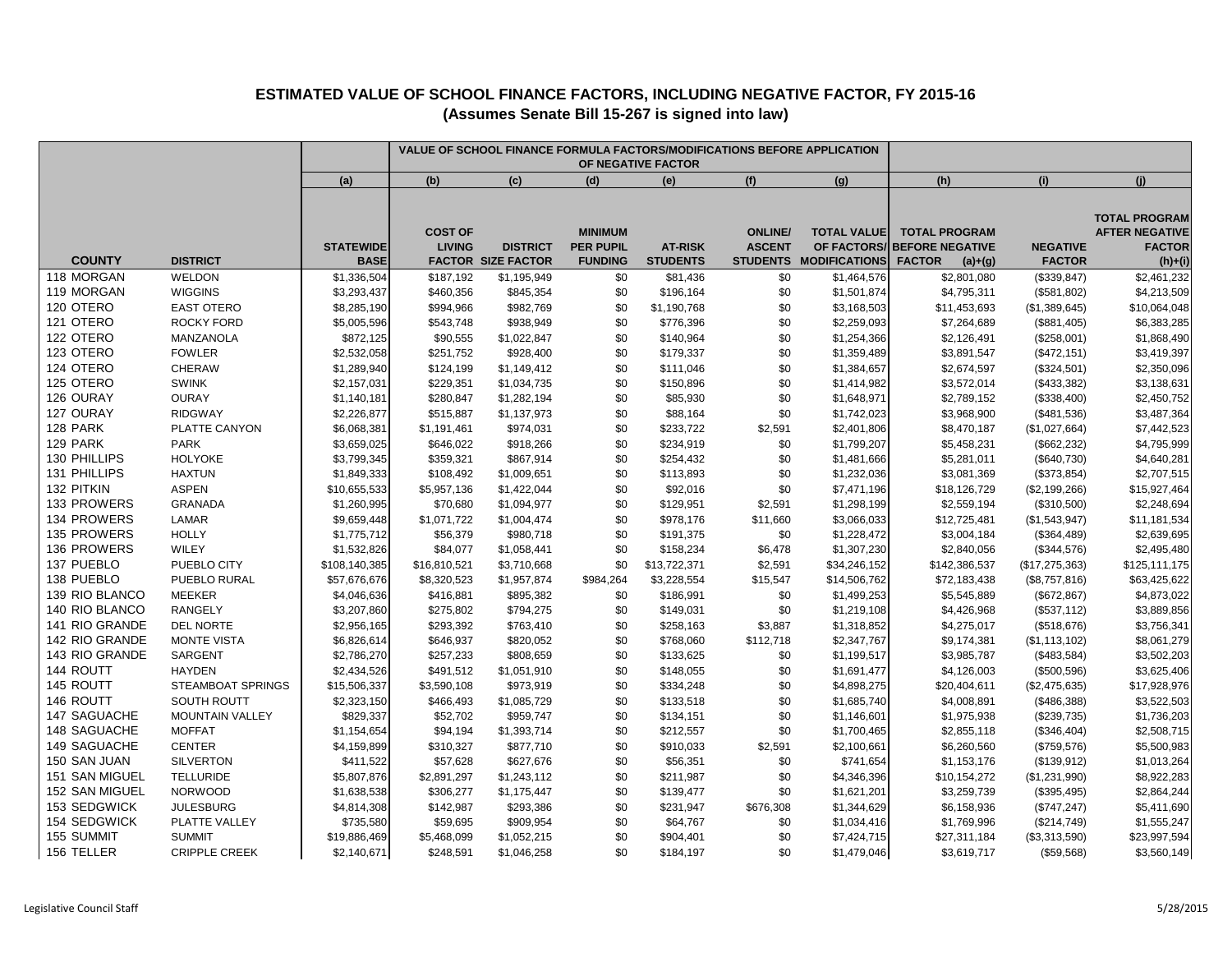|                      |                               |                                 | VALUE OF SCHOOL FINANCE FORMULA FACTORS/MODIFICATIONS BEFORE APPLICATION<br>OF NEGATIVE FACTOR |                                              |                                                      |                                   |                                |                                                             |                                                                              |                                  |                                                                             |
|----------------------|-------------------------------|---------------------------------|------------------------------------------------------------------------------------------------|----------------------------------------------|------------------------------------------------------|-----------------------------------|--------------------------------|-------------------------------------------------------------|------------------------------------------------------------------------------|----------------------------------|-----------------------------------------------------------------------------|
|                      |                               | (a)                             | (b)                                                                                            | (c)                                          | (d)                                                  | (e)                               | (f)                            | (g)                                                         | (h)                                                                          | (i)                              | (i)                                                                         |
| <b>COUNTY</b>        | <b>DISTRICT</b>               | <b>STATEWIDE</b><br><b>BASE</b> | <b>COST OF</b><br><b>LIVING</b>                                                                | <b>DISTRICT</b><br><b>FACTOR SIZE FACTOR</b> | <b>MINIMUM</b><br><b>PER PUPIL</b><br><b>FUNDING</b> | <b>AT-RISK</b><br><b>STUDENTS</b> | <b>ONLINE</b><br><b>ASCENT</b> | <b>TOTAL VALUE</b><br>OF FACTORS/<br>STUDENTS MODIFICATIONS | <b>TOTAL PROGRAM</b><br><b>BEFORE NEGATIVE</b><br><b>FACTOR</b><br>$(a)+(g)$ | <b>NEGATIVE</b><br><b>FACTOR</b> | <b>TOTAL PROGRAM</b><br><b>AFTER NEGATIVE</b><br><b>FACTOR</b><br>$(h)+(i)$ |
| 118 MORGAN           | <b>WELDON</b>                 | \$1,336,504                     | \$187,192                                                                                      | \$1,195,949                                  | \$0                                                  | \$81,436                          | \$0                            | \$1,464,576                                                 | \$2,801,080                                                                  | (\$339,847)                      | \$2,461,232                                                                 |
| 119 MORGAN           | <b>WIGGINS</b>                | \$3,293,437                     | \$460,356                                                                                      | \$845,354                                    | \$0                                                  | \$196,164                         | \$0                            | \$1,501,874                                                 | \$4,795,311                                                                  | (\$581,802)                      | \$4,213,509                                                                 |
| 120 OTERO            | <b>EAST OTERO</b>             | \$8,285,190                     | \$994,966                                                                                      | \$982,769                                    | \$0                                                  | \$1,190,768                       | \$0                            | \$3,168,503                                                 | \$11,453,693                                                                 | (\$1,389,645)                    | \$10,064,048                                                                |
| 121 OTERO            | ROCKY FORD                    | \$5,005,596                     | \$543,748                                                                                      | \$938,949                                    | \$0                                                  | \$776,396                         | \$0                            | \$2,259,093                                                 | \$7,264,689                                                                  | (\$881,405)                      | \$6,383,285                                                                 |
| 122 OTERO            | MANZANOLA                     | \$872,125                       | \$90,555                                                                                       | \$1,022,847                                  | \$0                                                  | \$140,964                         | \$0                            | \$1,254,366                                                 | \$2,126,491                                                                  | (\$258,001)                      | \$1,868,490                                                                 |
| 123 OTERO            | <b>FOWLER</b>                 | \$2,532,058                     | \$251,752                                                                                      | \$928,400                                    | \$0                                                  | \$179,337                         | \$0                            | \$1,359,489                                                 | \$3,891,547                                                                  | (\$472,151)                      | \$3,419,397                                                                 |
| 124 OTERO            | CHERAW                        | \$1,289,940                     | \$124,199                                                                                      | \$1,149,412                                  | \$0                                                  | \$111,046                         | \$0                            | \$1,384,657                                                 | \$2,674,597                                                                  | (\$324,501)                      | \$2,350,096                                                                 |
| 125 OTERO            | <b>SWINK</b>                  | \$2,157,031                     | \$229,351                                                                                      | \$1,034,735                                  | \$0                                                  | \$150,896                         | \$0                            | \$1,414,982                                                 | \$3,572,014                                                                  | (\$433,382)                      | \$3,138,631                                                                 |
| 126 OURAY            | <b>OURAY</b>                  | \$1,140,181                     | \$280,847                                                                                      | \$1,282,194                                  | \$0                                                  | \$85,930                          | \$0                            | \$1,648,971                                                 | \$2,789,152                                                                  | (\$338,400)                      | \$2,450,752                                                                 |
| 127 OURAY            | <b>RIDGWAY</b>                | \$2,226,877                     | \$515,887                                                                                      | \$1,137,973                                  | \$0                                                  | \$88,164                          | \$0                            | \$1,742,023                                                 | \$3,968,900                                                                  | (\$481,536)                      | \$3,487,364                                                                 |
| 128 PARK<br>129 PARK | PLATTE CANYON                 | \$6,068,381                     | \$1,191,461                                                                                    | \$974,031                                    | \$0                                                  | \$233,722                         | \$2,591                        | \$2,401,806                                                 | \$8,470,187                                                                  | (\$1,027,664)                    | \$7,442,523                                                                 |
| 130 PHILLIPS         | <b>PARK</b><br><b>HOLYOKE</b> | \$3,659,025                     | \$646,022                                                                                      | \$918,266                                    | \$0                                                  | \$234,919                         | \$0                            | \$1,799,207                                                 | \$5,458,231                                                                  | (\$662,232)                      | \$4,795,999                                                                 |
| 131 PHILLIPS         | <b>HAXTUN</b>                 | \$3,799,345<br>\$1,849,333      | \$359,321<br>\$108,492                                                                         | \$867,914                                    | \$0<br>\$0                                           | \$254,432<br>\$113,893            | \$0<br>\$0                     | \$1,481,666<br>\$1,232,036                                  | \$5,281,011<br>\$3,081,369                                                   | (\$640,730)                      | \$4,640,281<br>\$2,707,515                                                  |
| 132 PITKIN           | <b>ASPEN</b>                  | \$10,655,533                    | \$5,957,136                                                                                    | \$1,009,651<br>\$1,422,044                   | \$0                                                  | \$92,016                          | \$0                            | \$7,471,196                                                 | \$18,126,729                                                                 | (\$373,854)                      | \$15,927,464                                                                |
| 133 PROWERS          | <b>GRANADA</b>                | \$1,260,995                     | \$70,680                                                                                       | \$1,094,977                                  | \$0                                                  | \$129,951                         | \$2,591                        | \$1,298,199                                                 | \$2,559,194                                                                  | (\$2,199,266)<br>(\$310,500)     | \$2,248,694                                                                 |
| 134 PROWERS          | LAMAR                         | \$9,659,448                     | \$1,071,722                                                                                    | \$1,004,474                                  | \$0                                                  | \$978,176                         | \$11,660                       | \$3,066,033                                                 | \$12,725,481                                                                 | (\$1,543,947)                    | \$11,181,534                                                                |
| 135 PROWERS          | <b>HOLLY</b>                  | \$1,775,712                     | \$56,379                                                                                       | \$980,718                                    | \$0                                                  | \$191,375                         | \$0                            | \$1,228,472                                                 | \$3,004,184                                                                  | (\$364,489)                      | \$2,639,695                                                                 |
| <b>136 PROWERS</b>   | WILEY                         | \$1,532,826                     | \$84,077                                                                                       | \$1,058,441                                  | \$0                                                  | \$158,234                         | \$6,478                        | \$1,307,230                                                 | \$2,840,056                                                                  | (\$344,576)                      | \$2,495,480                                                                 |
| 137 PUEBLO           | PUEBLO CITY                   | \$108,140,385                   | \$16,810,521                                                                                   | \$3,710,668                                  | \$0                                                  | \$13,722,371                      | \$2,591                        | \$34,246,152                                                | \$142,386,537                                                                | (\$17,275,363)                   | \$125,111,175                                                               |
| 138 PUEBLO           | PUEBLO RURAL                  | \$57,676,676                    | \$8,320,523                                                                                    | \$1,957,874                                  | \$984,264                                            | \$3,228,554                       | \$15,547                       | \$14,506,762                                                | \$72,183,438                                                                 | (\$8,757,816)                    | \$63,425,622                                                                |
| 139 RIO BLANCO       | <b>MEEKER</b>                 | \$4,046,636                     | \$416,881                                                                                      | \$895,382                                    | \$0                                                  | \$186,991                         | \$0                            | \$1,499,253                                                 | \$5,545,889                                                                  | (\$672, 867)                     | \$4,873,022                                                                 |
| 140 RIO BLANCO       | <b>RANGELY</b>                | \$3,207,860                     | \$275,802                                                                                      | \$794,275                                    | \$0                                                  | \$149,031                         | \$0                            | \$1,219,108                                                 | \$4,426,968                                                                  | (\$537,112)                      | \$3,889,856                                                                 |
| 141 RIO GRANDE       | <b>DEL NORTE</b>              | \$2,956,165                     | \$293,392                                                                                      | \$763,410                                    | \$0                                                  | \$258,163                         | \$3,887                        | \$1,318,852                                                 | \$4,275,017                                                                  | (\$518,676)                      | \$3,756,341                                                                 |
| 142 RIO GRANDE       | <b>MONTE VISTA</b>            | \$6,826,614                     | \$646,937                                                                                      | \$820,052                                    | \$0                                                  | \$768,060                         | \$112,718                      | \$2,347,767                                                 | \$9,174,381                                                                  | (\$1,113,102)                    | \$8,061,279                                                                 |
| 143 RIO GRANDE       | <b>SARGENT</b>                | \$2,786,270                     | \$257,233                                                                                      | \$808,659                                    | \$0                                                  | \$133,625                         | \$0                            | \$1,199,517                                                 | \$3,985,787                                                                  | (\$483,584)                      | \$3,502,203                                                                 |
| 144 ROUTT            | <b>HAYDEN</b>                 | \$2,434,526                     | \$491,512                                                                                      | \$1,051,910                                  | \$0                                                  | \$148,055                         | \$0                            | \$1,691,477                                                 | \$4,126,003                                                                  | (\$500,596)                      | \$3,625,406                                                                 |
| 145 ROUTT            | <b>STEAMBOAT SPRINGS</b>      | \$15,506,337                    | \$3,590,108                                                                                    | \$973,919                                    | \$0                                                  | \$334,248                         | \$0                            | \$4,898,275                                                 | \$20,404,611                                                                 | (\$2,475,635)                    | \$17,928,976                                                                |
| 146 ROUTT            | SOUTH ROUTT                   | \$2,323,150                     | \$466,493                                                                                      | \$1,085,729                                  | \$0                                                  | \$133,518                         | \$0                            | \$1,685,740                                                 | \$4,008,891                                                                  | (\$486,388)                      | \$3,522,503                                                                 |
| 147 SAGUACHE         | <b>MOUNTAIN VALLEY</b>        | \$829,337                       | \$52,702                                                                                       | \$959,747                                    | \$0                                                  | \$134,151                         | \$0                            | \$1,146,601                                                 | \$1,975,938                                                                  | (\$239,735)                      | \$1,736,203                                                                 |
| 148 SAGUACHE         | <b>MOFFAT</b>                 | \$1,154,654                     | \$94,194                                                                                       | \$1,393,714                                  | \$0                                                  | \$212,557                         | \$0                            | \$1,700,465                                                 | \$2,855,118                                                                  | (\$346,404)                      | \$2,508,715                                                                 |
| 149 SAGUACHE         | <b>CENTER</b>                 | \$4,159,899                     | \$310,327                                                                                      | \$877,710                                    | \$0                                                  | \$910,033                         | \$2,591                        | \$2,100,661                                                 | \$6,260,560                                                                  | (\$759,576)                      | \$5,500,983                                                                 |
| 150 SAN JUAN         | <b>SILVERTON</b>              | \$411,522                       | \$57,628                                                                                       | \$627,676                                    | \$0                                                  | \$56,351                          | \$0                            | \$741,654                                                   | \$1,153,176                                                                  | (\$139,912)                      | \$1,013,264                                                                 |
| 151 SAN MIGUEL       | <b>TELLURIDE</b>              | \$5,807,876                     | \$2,891,297                                                                                    | \$1,243,112                                  | \$0                                                  | \$211,987                         | \$0                            | \$4,346,396                                                 | \$10,154,272                                                                 | (\$1,231,990)                    | \$8,922,283                                                                 |
| 152 SAN MIGUEL       | <b>NORWOOD</b>                | \$1,638,538                     | \$306,277                                                                                      | \$1,175,447                                  | \$0                                                  | \$139,477                         | \$0                            | \$1,621,201                                                 | \$3,259,739                                                                  | (\$395,495)                      | \$2,864,244                                                                 |
| 153 SEDGWICK         | <b>JULESBURG</b>              | \$4,814,308                     | \$142,987                                                                                      | \$293,386                                    | \$0                                                  | \$231,947                         | \$676,308                      | \$1,344,629                                                 | \$6,158,936                                                                  | (\$747, 247)                     | \$5,411,690                                                                 |
| 154 SEDGWICK         | PLATTE VALLEY                 | \$735,580                       | \$59,695                                                                                       | \$909,954                                    | \$0                                                  | \$64,767                          | \$0                            | \$1,034,416                                                 | \$1,769,996                                                                  | (\$214,749)                      | \$1,555,247                                                                 |
| 155 SUMMIT           | <b>SUMMIT</b>                 | \$19,886,469                    | \$5,468,099                                                                                    | \$1,052,215                                  | \$0                                                  | \$904,401                         | \$0                            | \$7,424,715                                                 | \$27,311,184                                                                 | (\$3,313,590)                    | \$23,997,594                                                                |
| 156 TELLER           | <b>CRIPPLE CREEK</b>          | \$2,140,671                     | \$248,591                                                                                      | \$1,046,258                                  | \$0                                                  | \$184,197                         | \$0                            | \$1,479,046                                                 | \$3,619,717                                                                  | (\$59,568)                       | \$3,560,149                                                                 |